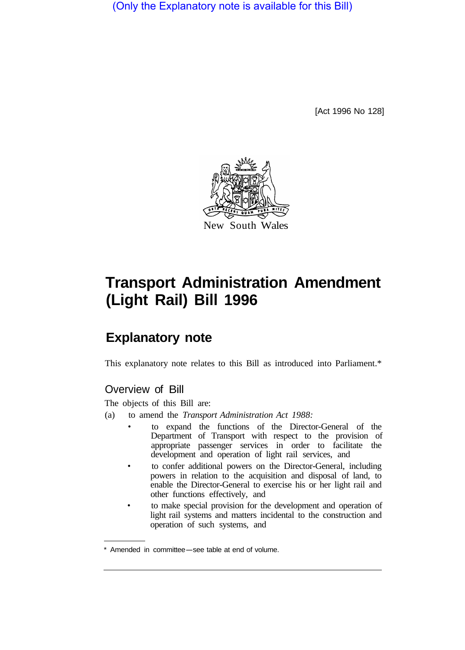(Only the Explanatory note is available for this Bill)

[Act 1996 No 128]



# **Transport Administration Amendment (Light Rail) Bill 1996**

## **Explanatory note**

This explanatory note relates to this Bill as introduced into Parliament.\*

### Overview of Bill

The objects of this Bill are:

- (a) to amend the *Transport Administration Act 1988:* 
	- to expand the functions of the Director-General of the Department of Transport with respect to the provision of appropriate passenger services in order to facilitate the development and operation of light rail services, and
	- to confer additional powers on the Director-General, including powers in relation to the acquisition and disposal of land, to enable the Director-General to exercise his or her light rail and other functions effectively, and
	- to make special provision for the development and operation of light rail systems and matters incidental to the construction and operation of such systems, and

<sup>\*</sup> Amended in committee-see table at end of volume.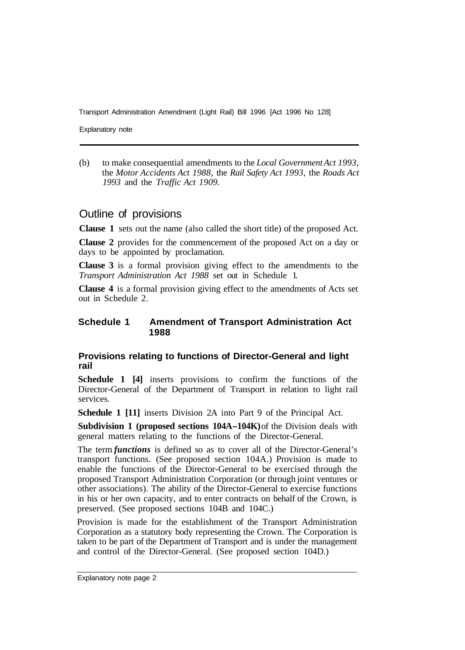Explanatory note

(b) to make consequential amendments to the *Local Government Act 1993,*  the *Motor Accidents Act 1988,* the *Rail Safety Act 1993,* the *Roads Act 1993* and the *Traffic Act 1909.* 

#### Outline of provisions

**Clause 1** sets out the name (also called the short title) of the proposed Act.

**Clause 2** provides for the commencement of the proposed Act on a day or days to be appointed by proclamation.

**Clause 3** is a formal provision giving effect to the amendments to the *Transport Administration Act 1988* set out in Schedule 1.

**Clause 4** is a formal provision giving effect to the amendments of Acts set out in Schedule 2.

#### **Schedule 1 Amendment of Transport Administration Act 1988**

#### **Provisions relating to functions of Director-General and light rail**

**Schedule 1 [4]** inserts provisions to confirm the functions of the Director-General of the Department of Transport in relation to light rail services.

**Schedule 1 [11]** inserts Division 2A into Part 9 of the Principal Act.

**Subdivision 1 (proposed sections 104A-104K)** of the Division deals with general matters relating to the functions of the Director-General.

The term *functions* is defined so as to cover all of the Director-General's transport functions. (See proposed section 104A.) Provision is made to enable the functions of the Director-General to be exercised through the proposed Transport Administration Corporation (or through joint ventures or other associations). The ability of the Director-General to exercise functions in his or her own capacity, and to enter contracts on behalf of the Crown, is preserved. (See proposed sections 104B and 104C.)

Provision is made for the establishment of the Transport Administration Corporation as a statutory body representing the Crown. The Corporation is taken to be part of the Department of Transport and is under the management and control of the Director-General. (See proposed section 104D.)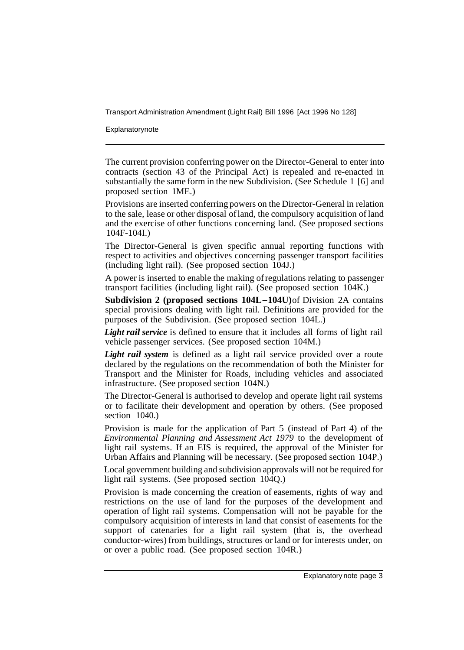Explanatorynote

The current provision conferring power on the Director-General to enter into contracts (section 43 of the Principal Act) is repealed and re-enacted in substantially the same form in the new Subdivision. (See Schedule 1 [6] and proposed section 1ME.)

Provisions are inserted conferring powers on the Director-General in relation to the sale, lease or other disposal of land, the compulsory acquisition of land and the exercise of other functions concerning land. (See proposed sections 104F-104I.)

The Director-General is given specific annual reporting functions with respect to activities and objectives concerning passenger transport facilities (including light rail). (See proposed section 104J.)

A power is inserted to enable the making of regulations relating to passenger transport facilities (including light rail). (See proposed section 104K.)

**Subdivision 2 (proposed sections 104L-104U)** of Division 2A contains special provisions dealing with light rail. Definitions are provided for the purposes of the Subdivision. (See proposed section 104L.)

Light rail service is defined to ensure that it includes all forms of light rail vehicle passenger services. (See proposed section 104M.)

*Light rail system* is defined as a light rail service provided over a route declared by the regulations on the recommendation of both the Minister for Transport and the Minister for Roads, including vehicles and associated infrastructure. (See proposed section 104N.)

The Director-General is authorised to develop and operate light rail systems or to facilitate their development and operation by others. (See proposed section 1040.)

Provision is made for the application of Part 5 (instead of Part 4) of the *Environmental Planning and Assessment Act 1979* to the development of light rail systems. If an EIS is required, the approval of the Minister for Urban Affairs and Planning will be necessary. (See proposed section 104P.)

Local government building and subdivision approvals will not be required for light rail systems. (See proposed section 104Q.)

Provision is made concerning the creation of easements, rights of way and restrictions on the use of land for the purposes of the development and operation of light rail systems. Compensation will not be payable for the compulsory acquisition of interests in land that consist of easements for the support of catenaries for a light rail system (that is, the overhead conductor-wires) from buildings, structures or land or for interests under, on or over a public road. (See proposed section 104R.)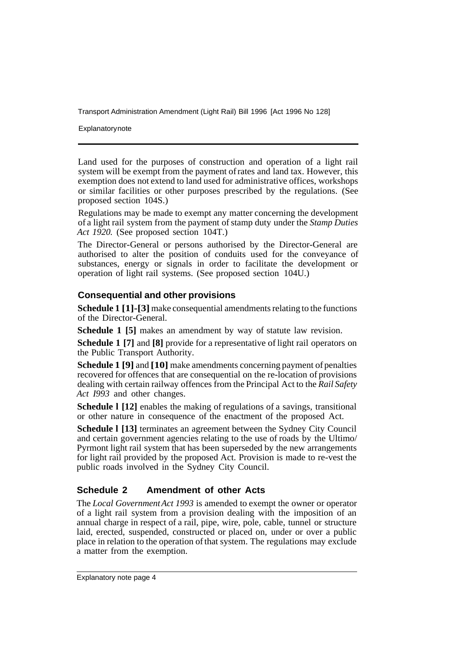**Explanatory note** 

Land used for the purposes of construction and operation of a light rail system will be exempt from the payment of rates and land tax. However, this exemption does not extend to land used for administrative offices, workshops or similar facilities or other purposes prescribed by the regulations. (See proposed section 104S.)

Regulations may be made to exempt any matter concerning the development of a light rail system from the payment of stamp duty under the *Stamp Duties Act 1920.* (See proposed section 104T.)

The Director-General or persons authorised by the Director-General are authorised to alter the position of conduits used for the conveyance of substances, energy or signals in order to facilitate the development or operation of light rail systems. (See proposed section 104U.)

#### **Consequential and other provisions**

**Schedule 1 [1]-[3]** make consequential amendments relating to the functions of the Director-General.

**Schedule 1 [5]** makes an amendment by way of statute law revision.

**Schedule 1 [7]** and **[8]** provide for a representative of light rail operators on the Public Transport Authority.

**Schedule 1 [9]** and **[10]** make amendments concerning payment of penalties recovered for offences that are consequential on the re-location of provisions dealing with certain railway offences from the Principal Act to the *Rail Safety Act I993* and other changes.

**Schedule l [12]** enables the making of regulations of a savings, transitional or other nature in consequence of the enactment of the proposed Act.

**Schedule l [13]** terminates an agreement between the Sydney City Council and certain government agencies relating to the use of roads by the Ultimo/ Pyrmont light rail system that has been superseded by the new arrangements for light rail provided by the proposed Act. Provision is made to re-vest the public roads involved in the Sydney City Council.

#### **Schedule 2 Amendment of other Acts**

The *Local Government Act 1993* is amended to exempt the owner or operator of a light rail system from a provision dealing with the imposition of an annual charge in respect of a rail, pipe, wire, pole, cable, tunnel or structure laid, erected, suspended, constructed or placed on, under or over a public place in relation to the operation of that system. The regulations may exclude a matter from the exemption.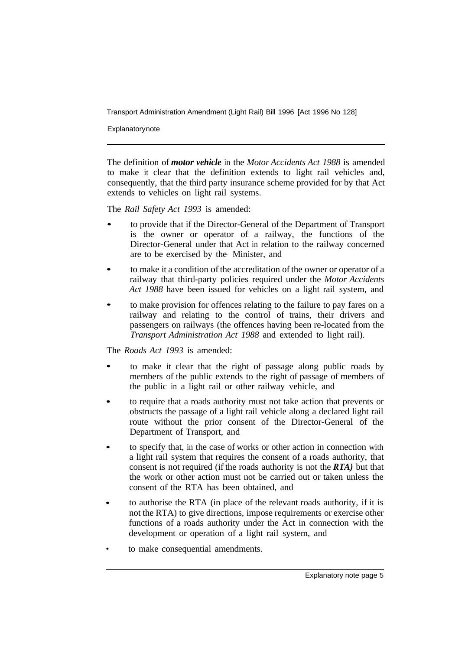**Explanatory note** 

The definition of *motor vehicle* in the *Motor Accidents Act 1988* is amended to make it clear that the definition extends to light rail vehicles and, consequently, that the third party insurance scheme provided for by that Act extends to vehicles on light rail systems.

The *Rail Safety Act 1993* is amended:

- to provide that if the Director-General of the Department of Transport is the owner or operator of a railway, the functions of the Director-General under that Act in relation to the railway concerned are to be exercised by the- Minister, and
- to make it a condition of the accreditation of the owner or operator of a railway that third-party policies required under the *Motor Accidents Act 1988* have been issued for vehicles on a light rail system, and
- to make provision for offences relating to the failure to pay fares on a railway and relating to the control of trains, their drivers and passengers on railways (the offences having been re-located from the *Transport Administration Act 1988* and extended to light rail).

#### The *Roads Act 1993* is amended:

- to make it clear that the right of passage along public roads by members of the public extends to the right of passage of members of the public in a light rail or other railway vehicle, and
- to require that a roads authority must not take action that prevents or obstructs the passage of a light rail vehicle along a declared light rail route without the prior consent of the Director-General of the Department of Transport, and
- to specify that, in the case of works or other action in connection with a light rail system that requires the consent of a roads authority, that consent is not required (if the roads authority is not the *RTA)* but that the work or other action must not be carried out or taken unless the consent of the RTA has been obtained, and
- to authorise the RTA (in place of the relevant roads authority, if it is not the RTA) to give directions, impose requirements or exercise other functions of a roads authority under the Act in connection with the development or operation of a light rail system, and
- to make consequential amendments.